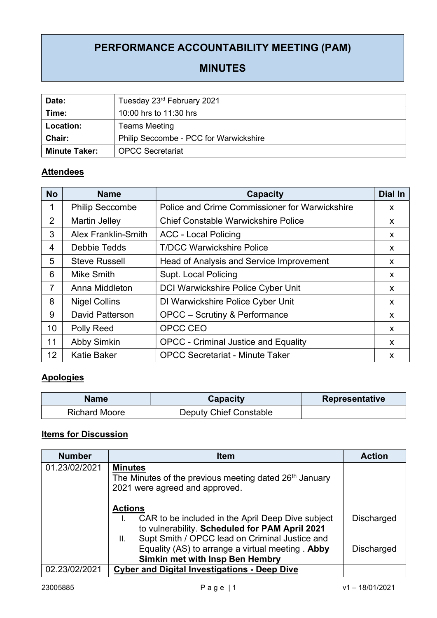# PERFORMANCE ACCOUNTABILITY MEETING (PAM)

## MINUTES

| Date:                | Tuesday 23rd February 2021             |  |  |
|----------------------|----------------------------------------|--|--|
| Time:                | 10:00 hrs to 11:30 hrs                 |  |  |
| Location:            | <b>Teams Meeting</b>                   |  |  |
| <b>Chair:</b>        | Philip Seccombe - PCC for Warwickshire |  |  |
| <b>Minute Taker:</b> | <b>OPCC Secretariat</b>                |  |  |

### **Attendees**

| <b>No</b>      | <b>Name</b>                | <b>Capacity</b>                                | <b>Dial In</b> |
|----------------|----------------------------|------------------------------------------------|----------------|
| 1              | <b>Philip Seccombe</b>     | Police and Crime Commissioner for Warwickshire | X.             |
| 2              | <b>Martin Jelley</b>       | <b>Chief Constable Warwickshire Police</b>     | X.             |
| 3              | <b>Alex Franklin-Smith</b> | <b>ACC - Local Policing</b>                    | X.             |
| 4              | Debbie Tedds               | <b>T/DCC Warwickshire Police</b>               | X              |
| 5              | <b>Steve Russell</b>       | Head of Analysis and Service Improvement       | X.             |
| 6              | Mike Smith                 | <b>Supt. Local Policing</b>                    | X              |
| $\overline{7}$ | Anna Middleton             | <b>DCI Warwickshire Police Cyber Unit</b>      | X.             |
| 8              | <b>Nigel Collins</b>       | DI Warwickshire Police Cyber Unit              | X              |
| 9              | <b>David Patterson</b>     | <b>OPCC</b> – Scrutiny & Performance           | X.             |
| 10             | <b>Polly Reed</b>          | OPCC CEO                                       | X.             |
| 11             | <b>Abby Simkin</b>         | <b>OPCC - Criminal Justice and Equality</b>    | X              |
| 12             | <b>Katie Baker</b>         | <b>OPCC Secretariat - Minute Taker</b>         | X              |

### **Apologies**

| <b>Name</b>          | Capacity               | <b>Representative</b> |
|----------------------|------------------------|-----------------------|
| <b>Richard Moore</b> | Deputy Chief Constable |                       |

# Items for Discussion

| <b>Number</b> | <b>Item</b>                                                                                                                                                                   | <b>Action</b>     |
|---------------|-------------------------------------------------------------------------------------------------------------------------------------------------------------------------------|-------------------|
| 01.23/02/2021 | <b>Minutes</b><br>The Minutes of the previous meeting dated 26 <sup>th</sup> January<br>2021 were agreed and approved.                                                        |                   |
|               | <b>Actions</b><br>CAR to be included in the April Deep Dive subject<br>to vulnerability. Scheduled for PAM April 2021<br>Supt Smith / OPCC lead on Criminal Justice and<br>Ш. | <b>Discharged</b> |
|               | Equality (AS) to arrange a virtual meeting. Abby<br>Simkin met with Insp Ben Hembry                                                                                           | Discharged        |
| 02.23/02/2021 | <b>Cyber and Digital Investigations - Deep Dive</b>                                                                                                                           |                   |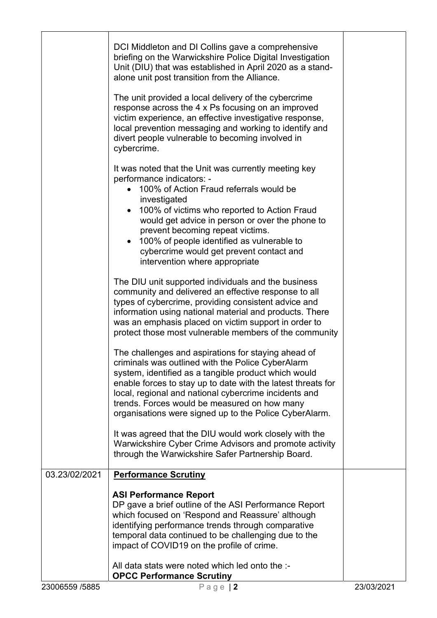| 23006559 /5885 | <b>OPCC Performance Scrutiny</b><br>Page $ 2$                                                                                                                         | 23/03/2021 |
|----------------|-----------------------------------------------------------------------------------------------------------------------------------------------------------------------|------------|
|                | All data stats were noted which led onto the :-                                                                                                                       |            |
|                | temporal data continued to be challenging due to the<br>impact of COVID19 on the profile of crime.                                                                    |            |
|                | which focused on 'Respond and Reassure' although<br>identifying performance trends through comparative                                                                |            |
|                | <b>ASI Performance Report</b><br>DP gave a brief outline of the ASI Performance Report                                                                                |            |
| 03.23/02/2021  | <b>Performance Scrutiny</b>                                                                                                                                           |            |
|                | Warwickshire Cyber Crime Advisors and promote activity<br>through the Warwickshire Safer Partnership Board.                                                           |            |
|                | It was agreed that the DIU would work closely with the                                                                                                                |            |
|                | trends. Forces would be measured on how many<br>organisations were signed up to the Police CyberAlarm.                                                                |            |
|                | enable forces to stay up to date with the latest threats for<br>local, regional and national cybercrime incidents and                                                 |            |
|                | criminals was outlined with the Police CyberAlarm<br>system, identified as a tangible product which would                                                             |            |
|                | protect those most vulnerable members of the community<br>The challenges and aspirations for staying ahead of                                                         |            |
|                | was an emphasis placed on victim support in order to                                                                                                                  |            |
|                | types of cybercrime, providing consistent advice and<br>information using national material and products. There                                                       |            |
|                | The DIU unit supported individuals and the business<br>community and delivered an effective response to all                                                           |            |
|                | intervention where appropriate                                                                                                                                        |            |
|                | 100% of people identified as vulnerable to<br>cybercrime would get prevent contact and                                                                                |            |
|                | 100% of victims who reported to Action Fraud<br>would get advice in person or over the phone to<br>prevent becoming repeat victims.                                   |            |
|                | investigated                                                                                                                                                          |            |
|                | It was noted that the Unit was currently meeting key<br>performance indicators: -<br>100% of Action Fraud referrals would be                                          |            |
|                | cybercrime.                                                                                                                                                           |            |
|                | local prevention messaging and working to identify and<br>divert people vulnerable to becoming involved in                                                            |            |
|                | The unit provided a local delivery of the cybercrime<br>response across the 4 x Ps focusing on an improved<br>victim experience, an effective investigative response, |            |
|                | Unit (DIU) that was established in April 2020 as a stand-<br>alone unit post transition from the Alliance.                                                            |            |
|                | DCI Middleton and DI Collins gave a comprehensive<br>briefing on the Warwickshire Police Digital Investigation                                                        |            |
|                |                                                                                                                                                                       |            |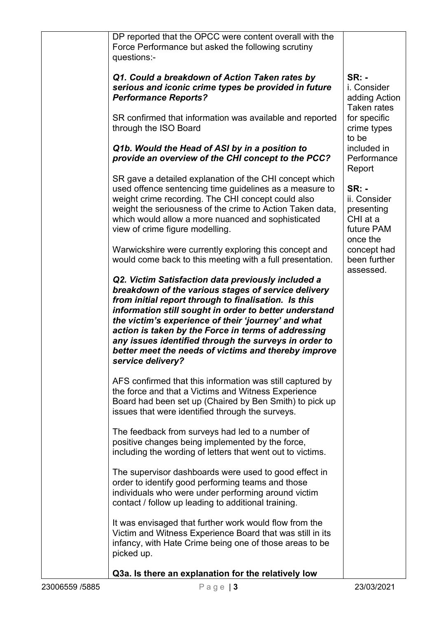| DP reported that the OPCC were content overall with the<br>Force Performance but asked the following scrutiny<br>questions:-                                                                                                                                                                                                                                                                                                                                                    |                                                                                  |
|---------------------------------------------------------------------------------------------------------------------------------------------------------------------------------------------------------------------------------------------------------------------------------------------------------------------------------------------------------------------------------------------------------------------------------------------------------------------------------|----------------------------------------------------------------------------------|
| Q1. Could a breakdown of Action Taken rates by<br>serious and iconic crime types be provided in future<br><b>Performance Reports?</b>                                                                                                                                                                                                                                                                                                                                           | <b>SR: -</b><br>i. Consider<br>adding Action<br>Taken rates                      |
| SR confirmed that information was available and reported<br>through the ISO Board                                                                                                                                                                                                                                                                                                                                                                                               | for specific<br>crime types<br>to be                                             |
| Q1b. Would the Head of ASI by in a position to<br>provide an overview of the CHI concept to the PCC?                                                                                                                                                                                                                                                                                                                                                                            | included in<br>Performance<br>Report                                             |
| SR gave a detailed explanation of the CHI concept which<br>used offence sentencing time guidelines as a measure to<br>weight crime recording. The CHI concept could also<br>weight the seriousness of the crime to Action Taken data,<br>which would allow a more nuanced and sophisticated<br>view of crime figure modelling.                                                                                                                                                  | <b>SR: -</b><br>ii. Consider<br>presenting<br>CHI at a<br>future PAM<br>once the |
| Warwickshire were currently exploring this concept and<br>would come back to this meeting with a full presentation.                                                                                                                                                                                                                                                                                                                                                             | concept had<br>been further<br>assessed.                                         |
| Q2. Victim Satisfaction data previously included a<br>breakdown of the various stages of service delivery<br>from initial report through to finalisation. Is this<br>information still sought in order to better understand<br>the victim's experience of their 'journey' and what<br>action is taken by the Force in terms of addressing<br>any issues identified through the surveys in order to<br>better meet the needs of victims and thereby improve<br>service delivery? |                                                                                  |
| AFS confirmed that this information was still captured by<br>the force and that a Victims and Witness Experience<br>Board had been set up (Chaired by Ben Smith) to pick up<br>issues that were identified through the surveys.                                                                                                                                                                                                                                                 |                                                                                  |
| The feedback from surveys had led to a number of<br>positive changes being implemented by the force,<br>including the wording of letters that went out to victims.                                                                                                                                                                                                                                                                                                              |                                                                                  |
| The supervisor dashboards were used to good effect in<br>order to identify good performing teams and those<br>individuals who were under performing around victim<br>contact / follow up leading to additional training.                                                                                                                                                                                                                                                        |                                                                                  |
| It was envisaged that further work would flow from the<br>Victim and Witness Experience Board that was still in its<br>infancy, with Hate Crime being one of those areas to be<br>picked up.                                                                                                                                                                                                                                                                                    |                                                                                  |
| Q3a. Is there an explanation for the relatively low                                                                                                                                                                                                                                                                                                                                                                                                                             |                                                                                  |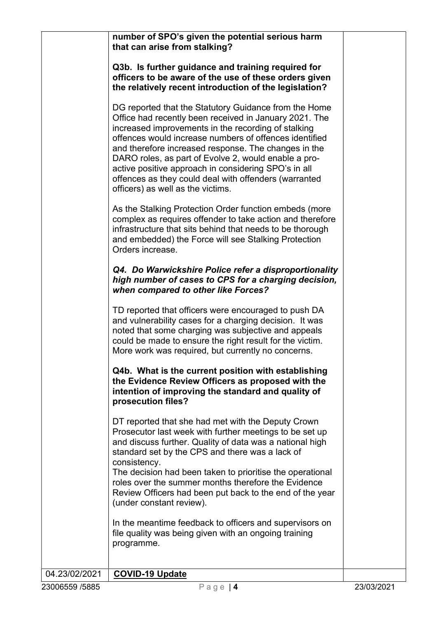number of SPO's given the potential serious harm that can arise from stalking?

Q3b. Is further guidance and training required for officers to be aware of the use of these orders given the relatively recent introduction of the legislation?

DG reported that the Statutory Guidance from the Home Office had recently been received in January 2021. The increased improvements in the recording of stalking offences would increase numbers of offences identified and therefore increased response. The changes in the DARO roles, as part of Evolve 2, would enable a proactive positive approach in considering SPO's in all offences as they could deal with offenders (warranted officers) as well as the victims.

As the Stalking Protection Order function embeds (more complex as requires offender to take action and therefore infrastructure that sits behind that needs to be thorough and embedded) the Force will see Stalking Protection Orders increase.

#### Q4. Do Warwickshire Police refer a disproportionality high number of cases to CPS for a charging decision, when compared to other like Forces?

TD reported that officers were encouraged to push DA and vulnerability cases for a charging decision. It was noted that some charging was subjective and appeals could be made to ensure the right result for the victim. More work was required, but currently no concerns.

#### Q4b. What is the current position with establishing the Evidence Review Officers as proposed with the intention of improving the standard and quality of prosecution files?

DT reported that she had met with the Deputy Crown Prosecutor last week with further meetings to be set up and discuss further. Quality of data was a national high standard set by the CPS and there was a lack of consistency.

The decision had been taken to prioritise the operational roles over the summer months therefore the Evidence Review Officers had been put back to the end of the year (under constant review).

In the meantime feedback to officers and supervisors on file quality was being given with an ongoing training programme.

# 04.23/02/2021 | COVID-19 Update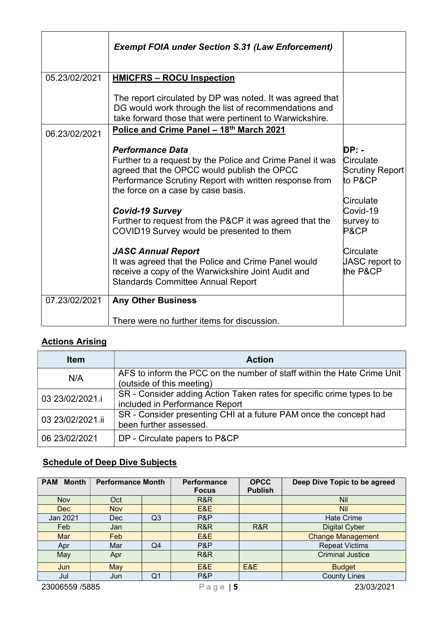|               | <b>Exempt FOIA under Section S.31 (Law Enforcement)</b>                                                                                                                                                                                                                                                                                                                                                                                                                                                                                                     |                                                                                                                                             |
|---------------|-------------------------------------------------------------------------------------------------------------------------------------------------------------------------------------------------------------------------------------------------------------------------------------------------------------------------------------------------------------------------------------------------------------------------------------------------------------------------------------------------------------------------------------------------------------|---------------------------------------------------------------------------------------------------------------------------------------------|
| 05.23/02/2021 | <b>HMICFRS - ROCU Inspection</b>                                                                                                                                                                                                                                                                                                                                                                                                                                                                                                                            |                                                                                                                                             |
|               | The report circulated by DP was noted. It was agreed that<br>DG would work through the list of recommendations and<br>take forward those that were pertinent to Warwickshire.                                                                                                                                                                                                                                                                                                                                                                               |                                                                                                                                             |
| 06.23/02/2021 | Police and Crime Panel - 18th March 2021                                                                                                                                                                                                                                                                                                                                                                                                                                                                                                                    |                                                                                                                                             |
|               | <b>Performance Data</b><br>Further to a request by the Police and Crime Panel it was<br>agreed that the OPCC would publish the OPCC<br>Performance Scrutiny Report with written response from<br>the force on a case by case basis.<br><b>Covid-19 Survey</b><br>Further to request from the P&CP it was agreed that the<br>COVID19 Survey would be presented to them<br><b>JASC Annual Report</b><br>It was agreed that the Police and Crime Panel would<br>receive a copy of the Warwickshire Joint Audit and<br><b>Standards Committee Annual Report</b> | $DP: -$<br>Circulate<br>Scrutiny Report<br>to P&CP<br>Circulate<br>Covid-19<br>survey to<br>P&CP<br>Circulate<br>JASC report to<br>the P&CP |
| 07.23/02/2021 | <b>Any Other Business</b>                                                                                                                                                                                                                                                                                                                                                                                                                                                                                                                                   |                                                                                                                                             |
|               | There were no further items for discussion.                                                                                                                                                                                                                                                                                                                                                                                                                                                                                                                 |                                                                                                                                             |

### Actions Arising

| <b>Item</b>      | <b>Action</b>                                                                                            |  |  |  |  |
|------------------|----------------------------------------------------------------------------------------------------------|--|--|--|--|
| N/A              | AFS to inform the PCC on the number of staff within the Hate Crime Unit                                  |  |  |  |  |
|                  | (outside of this meeting)                                                                                |  |  |  |  |
| 03 23/02/2021.i  | SR - Consider adding Action Taken rates for specific crime types to be<br>included in Performance Report |  |  |  |  |
| 03 23/02/2021.ii | SR - Consider presenting CHI at a future PAM once the concept had<br>been further assessed.              |  |  |  |  |
| 06 23/02/2021    | DP - Circulate papers to P&CP                                                                            |  |  |  |  |

# **Schedule of Deep Dive Subjects**

| <b>Month</b><br><b>PAM</b> | <b>Performance Month</b> |                | Performance<br><b>Focus</b> | <b>OPCC</b><br><b>Publish</b> | Deep Dive Topic to be agreed |
|----------------------------|--------------------------|----------------|-----------------------------|-------------------------------|------------------------------|
| Nov                        | Oct                      |                | R&R                         |                               | <b>Nil</b>                   |
| Dec                        | <b>Nov</b>               |                | E&E                         |                               | <b>Nil</b>                   |
| Jan 2021                   | Dec                      | Q <sub>3</sub> | P&P                         |                               | <b>Hate Crime</b>            |
| Feb                        | Jan                      |                | R&R                         | R&R                           | <b>Digital Cyber</b>         |
| Mar                        | Feb                      |                | E&E                         |                               | <b>Change Management</b>     |
| Apr                        | Mar                      | Q4             | P&P                         |                               | <b>Repeat Victims</b>        |
| May                        | Apr                      |                | R&R                         |                               | <b>Criminal Justice</b>      |
| Jun                        | May                      |                | E&E                         | E&E                           | <b>Budget</b>                |
| Jul                        | Jun                      | Q <sub>1</sub> | P&P                         |                               | <b>County Lines</b>          |
| 23006559 /5885             |                          | 5 ا<br>Page    |                             | 23/03/2021                    |                              |